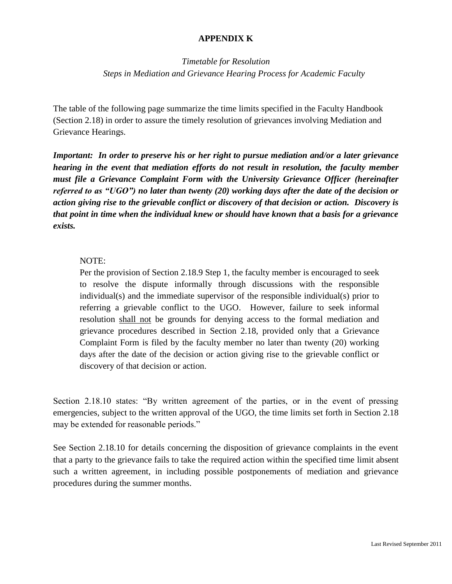## **APPENDIX K**

*Timetable for Resolution Steps in Mediation and Grievance Hearing Process for Academic Faculty*

The table of the following page summarize the time limits specified in the Faculty Handbook (Section 2.18) in order to assure the timely resolution of grievances involving Mediation and Grievance Hearings.

*Important: In order to preserve his or her right to pursue mediation and/or a later grievance hearing in the event that mediation efforts do not result in resolution, the faculty member must file a Grievance Complaint Form with the University Grievance Officer (hereinafter referred to as "UGO") no later than twenty (20) working days after the date of the decision or action giving rise to the grievable conflict or discovery of that decision or action. Discovery is that point in time when the individual knew or should have known that a basis for a grievance exists.* 

## NOTE:

Per the provision of Section 2.18.9 Step 1, the faculty member is encouraged to seek to resolve the dispute informally through discussions with the responsible individual(s) and the immediate supervisor of the responsible individual(s) prior to referring a grievable conflict to the UGO. However, failure to seek informal resolution shall not be grounds for denying access to the formal mediation and grievance procedures described in Section 2.18, provided only that a Grievance Complaint Form is filed by the faculty member no later than twenty (20) working days after the date of the decision or action giving rise to the grievable conflict or discovery of that decision or action.

Section 2.18.10 states: "By written agreement of the parties, or in the event of pressing emergencies, subject to the written approval of the UGO, the time limits set forth in Section 2.18 may be extended for reasonable periods."

See Section 2.18.10 for details concerning the disposition of grievance complaints in the event that a party to the grievance fails to take the required action within the specified time limit absent such a written agreement, in including possible postponements of mediation and grievance procedures during the summer months.